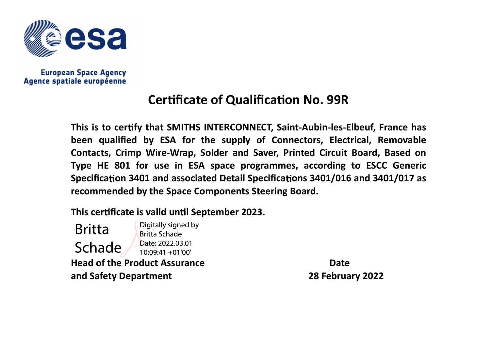

## **Certificate of Qualification No. 99R**

This is to certify that SMITHS INTERCONNECT, Saint-Aubin-les-Elbeuf, France has been qualified by ESA for the supply of Connectors, Electrical, Removable Contacts, Crimp Wire Wrap, Solder and Saver, Printed Circuit Board, Based on Type HE 801 for use in ESA space programmes, according to ESCC Generic Specification 3401 and associated Detail Specifications 3401/016 and 3401/017 as recommended by the Space Components Steering Board.

This certificate is valid until September 2023.

Digitally signed by **Britta Britta Schade** Date: 2022.03.01 Schade  $10:09:41 + 01'00'$ **Head of the Product Assurance Contract Contract Contract Contract Contract Contract Contract Contract Contract Contract Contract Contract Contract Contract Contract Contract Contract Contract Contract Contract Contract** and Safety Department 28 February 2022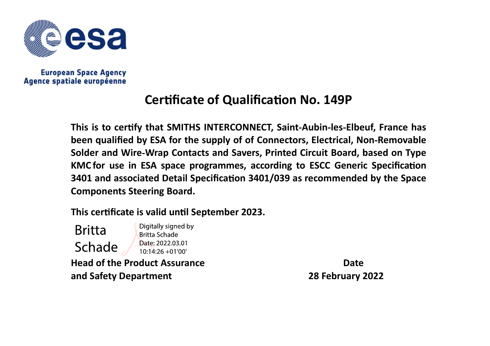

## **Certificate of Qualification No. 149P**

This is to certify that SMITHS INTERCONNECT, Saint-Aubin-les-Elbeuf, France has been qualified by ESA for the supply of of Connectors, Electrical, Non-Removable Solder and Wire Wrap Contacts and Savers, Printed Circuit Board, based on Type KMC for use in ESA space programmes, according to ESCC Generic Specification 3401 and associated Detail Specification 3401/039 as recommended by the Space Components Steering Board.

This certificate is valid until September 2023.

Digitally signed by **Britta Britta Schade** Date: 2022.03.01 Schade  $10:14:26 + 01'00'$ **Head of the Product Assurance Community Contract Contract Contract Contract Contract Contract Contract Contract Contract Contract Contract Contract Contract Contract Contract Contract Contract Contract Contract Contract C** and Safety Department 28 February 2022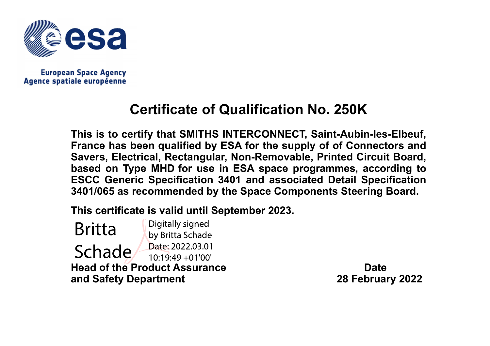

## Certificate of Qualification No. 250K

This is to certify that SMITHS INTERCONNECT, Saint-Aubin-les-Elbeuf, France has been qualified by ESA for the supply of of Connectors and Savers, Electrical, Rectangular, Non-Removable, Printed Circuit Board, based on Type MHD for use in ESA space programmes, according to ESCC Generic Specification 3401 and associated Detail Specification 3401/065 as recommended by the Space Components Steering Board.

This certificate is valid until September 2023.

Digitally signed **Britta** by Britta Schade Date: 2022.03.01 Schade/  $10.19.49 + 01'00'$ Head of the Product Assurance Date and Safety Department 28 February 2022